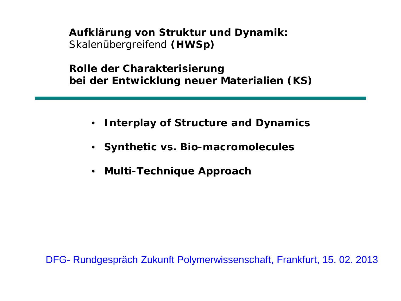**Aufklärung von Struktur und Dynamik:** Skalenübergreifend **(HWSp)**

**Rolle der Charakterisierung bei der Entwicklung neuer Materialien (KS)**

- **Interplay of Structure and Dynamics**
- **Synthetic vs. Bio-macromolecules**
- **Multi-Technique Approach**

DFG- Rundgespräch Zukunft Polymerwissenschaft, Frankfurt, 15. 02. 2013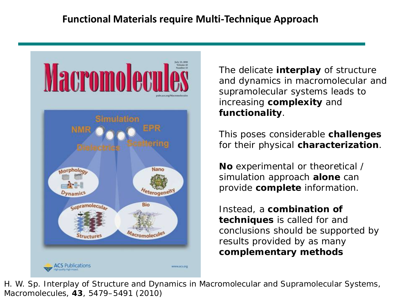

The delicate **interplay** of structure and dynamics in macromolecular and supramolecular systems leads to increasing **complexity** and **functionality**.

This poses considerable **challenges** for their physical **characterization**.

**No** experimental or theoretical / simulation approach **alone** can provide **complete** information.

Instead, a **combination of techniques** is called for and conclusions should be supported by results provided by as many **complementary methods**

H. W. Sp. Interplay of Structure and Dynamics in Macromolecular and Supramolecular Systems, *Macromolecules*, **43**, 5479–5491 (2010)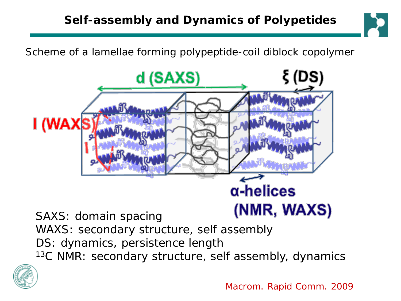Scheme of a lamellae forming polypeptide-coil diblock copolymer



- WAXS: secondary structure, self assembly
- DS: dynamics, persistence length
- <sup>13</sup>C NMR: secondary structure, self assembly, dynamics



Macrom. Rapid Comm. 2009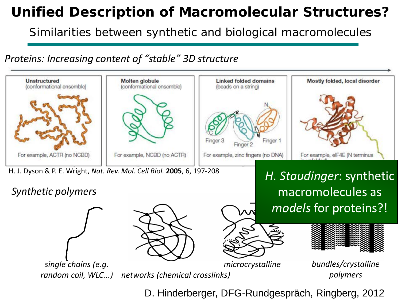## *AUnified Description of Macromolecular Structure? Unified Description of Macromolecular Structures?*

*Similarities between synthetic* and *biological* macromolecules

*Proteins: Increasing content of "stable" 3D structure*



D. Hinderberger, DFG-Rundgespräch, Ringberg, 2012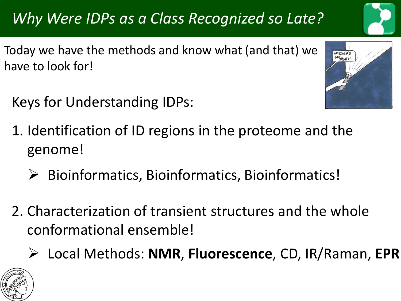# *Why Were IDPs as a Class Recognized so Late?*

Today we have the methods and know what (and that) we have to look for!

Keys for Understanding IDPs:



- 1. Identification of ID regions in the proteome and the genome!
	- $\triangleright$  Bioinformatics, Bioinformatics, Bioinformatics!
- 2. Characterization of transient structures and the whole conformational ensemble!
	- Local Methods: **NMR**, **Fluorescence**, CD, IR/Raman, **EPR**

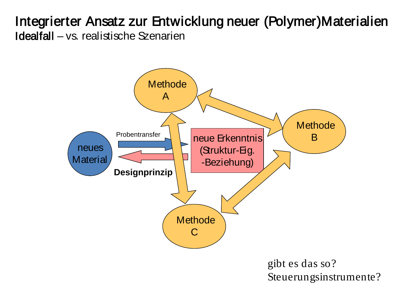### Integrierter Ansatz zur Entwicklung neuer (Polymer)Materialien Idealfall – vs. realistische Szenarien



gibt es das so? Steuerungsinstrumente?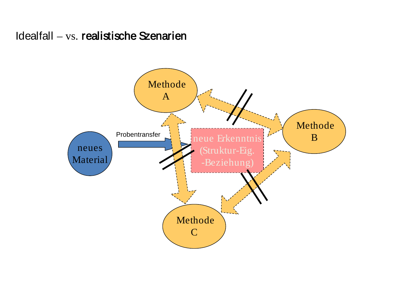Idealfall – vs. realistische Szenarien

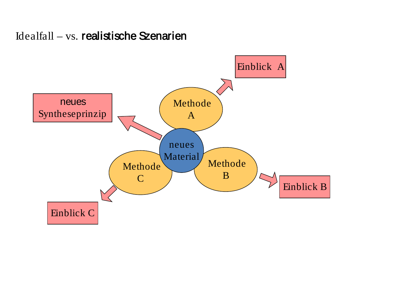#### Idealfall – vs. realistische Szenarien

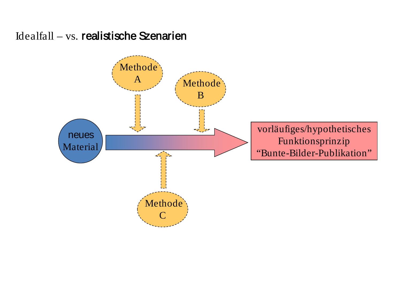#### Idealfall – vs. realistische Szenarien

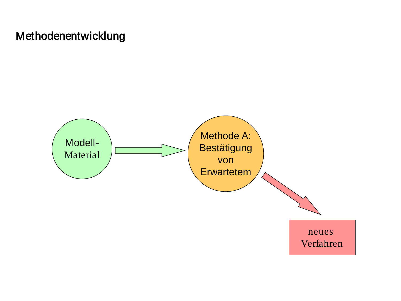#### Methodenentwicklung

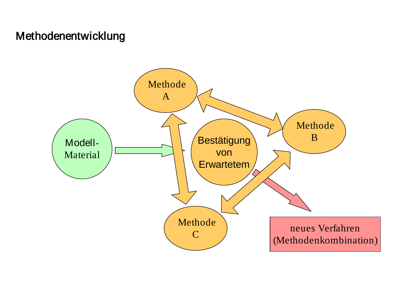#### Methodenentwicklung